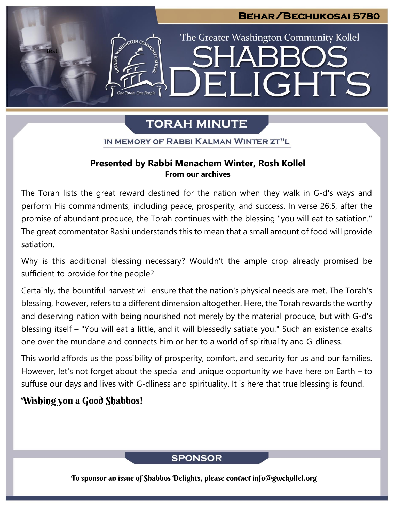## **Behar/Bechukosai 5780**

LIGHTS

The Greater Washington Community Kollel

# **TORAH MINUTE**

EI

IN MEMORY OF RABBI KALMAN WINTER ZT"L

## **Presented by Rabbi Menachem Winter, Rosh Kollel From our archives**

The Torah lists the great reward destined for the nation when they walk in G-d's ways and perform His commandments, including peace, prosperity, and success. In verse 26:5, after the promise of abundant produce, the Torah continues with the blessing "you will eat to satiation." The great commentator Rashi understands this to mean that a small amount of food will provide satiation.

Why is this additional blessing necessary? Wouldn't the ample crop already promised be sufficient to provide for the people?

Certainly, the bountiful harvest will ensure that the nation's physical needs are met. The Torah's blessing, however, refers to a different dimension altogether. Here, the Torah rewards the worthy and deserving nation with being nourished not merely by the material produce, but with G-d's blessing itself – "You will eat a little, and it will blessedly satiate you." Such an existence exalts one over the mundane and connects him or her to a world of spirituality and G-dliness.

This world affords us the possibility of prosperity, comfort, and security for us and our families. However, let's not forget about the special and unique opportunity we have here on Earth – to suffuse our days and lives with G-dliness and spirituality. It is here that true blessing is found.

# Wishing you a Good Shabbos!

test

## **SPONSOR**

To sponsor an issue of Shabbos Delights, please contact info@gwckollel.org